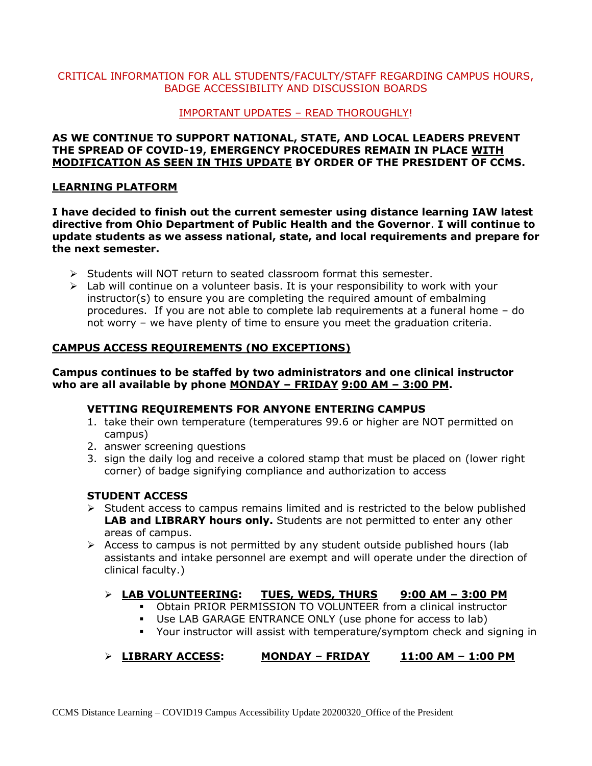# CRITICAL INFORMATION FOR ALL STUDENTS/FACULTY/STAFF REGARDING CAMPUS HOURS, BADGE ACCESSIBILITY AND DISCUSSION BOARDS

## IMPORTANT UPDATES – READ THOROUGHLY!

### **AS WE CONTINUE TO SUPPORT NATIONAL, STATE, AND LOCAL LEADERS PREVENT THE SPREAD OF COVID-19, EMERGENCY PROCEDURES REMAIN IN PLACE WITH MODIFICATION AS SEEN IN THIS UPDATE BY ORDER OF THE PRESIDENT OF CCMS.**

### **LEARNING PLATFORM**

**I have decided to finish out the current semester using distance learning IAW latest directive from Ohio Department of Public Health and the Governor**. **I will continue to update students as we assess national, state, and local requirements and prepare for the next semester.**

- ➢ Students will NOT return to seated classroom format this semester.
- $\triangleright$  Lab will continue on a volunteer basis. It is your responsibility to work with your instructor(s) to ensure you are completing the required amount of embalming procedures. If you are not able to complete lab requirements at a funeral home – do not worry – we have plenty of time to ensure you meet the graduation criteria.

# **CAMPUS ACCESS REQUIREMENTS (NO EXCEPTIONS)**

## **Campus continues to be staffed by two administrators and one clinical instructor who are all available by phone MONDAY – FRIDAY 9:00 AM – 3:00 PM.**

#### **VETTING REQUIREMENTS FOR ANYONE ENTERING CAMPUS**

- 1. take their own temperature (temperatures 99.6 or higher are NOT permitted on campus)
- 2. answer screening questions
- 3. sign the daily log and receive a colored stamp that must be placed on (lower right corner) of badge signifying compliance and authorization to access

#### **STUDENT ACCESS**

- $\triangleright$  Student access to campus remains limited and is restricted to the below published **LAB and LIBRARY hours only.** Students are not permitted to enter any other areas of campus.
- $\triangleright$  Access to campus is not permitted by any student outside published hours (lab assistants and intake personnel are exempt and will operate under the direction of clinical faculty.)

# ➢ **LAB VOLUNTEERING: TUES, WEDS, THURS 9:00 AM – 3:00 PM**

- **Obtain PRIOR PERMISSION TO VOLUNTEER from a clinical instructor**
- Use LAB GARAGE ENTRANCE ONLY (use phone for access to lab)
- Your instructor will assist with temperature/symptom check and signing in

# ➢ **LIBRARY ACCESS: MONDAY – FRIDAY 11:00 AM – 1:00 PM**